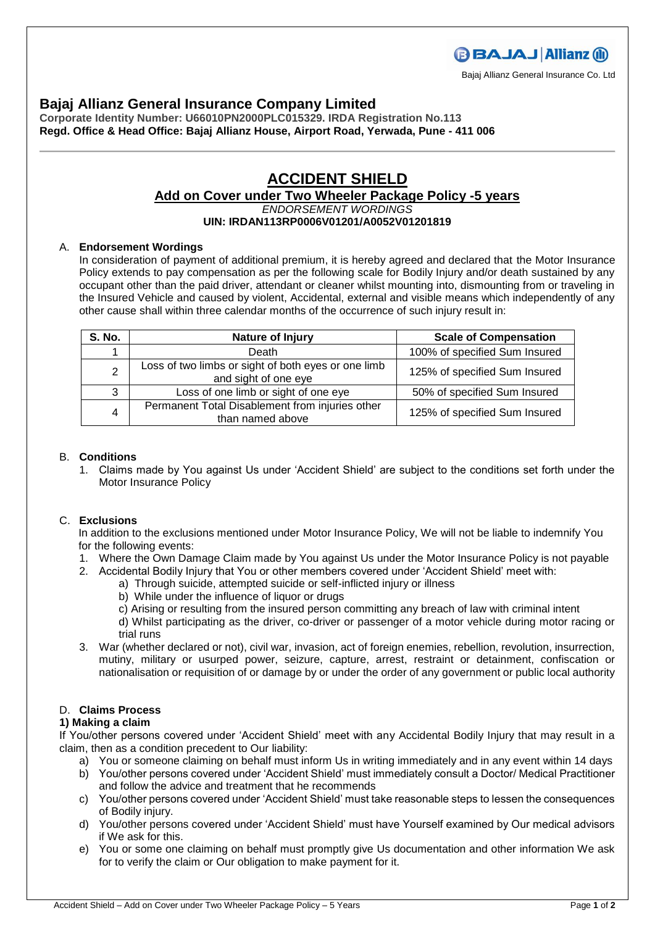Bajaj Allianz General Insurance Co. Ltd

### **Bajaj Allianz General Insurance Company Limited**

**Corporate Identity Number: U66010PN2000PLC015329. IRDA Registration No.113 Regd. Office & Head Office: Bajaj Allianz House, Airport Road, Yerwada, Pune - 411 006**

# **ACCIDENT SHIELD**

## **Add on Cover under Two Wheeler Package Policy -5 years**

*ENDORSEMENT WORDINGS*

### **UIN: IRDAN113RP0006V01201/A0052V01201819**

#### A. **Endorsement Wordings**

In consideration of payment of additional premium, it is hereby agreed and declared that the Motor Insurance Policy extends to pay compensation as per the following scale for Bodily Injury and/or death sustained by any occupant other than the paid driver, attendant or cleaner whilst mounting into, dismounting from or traveling in the Insured Vehicle and caused by violent, Accidental, external and visible means which independently of any other cause shall within three calendar months of the occurrence of such injury result in:

| <b>S. No.</b>  | Nature of Injury                                                            | <b>Scale of Compensation</b>  |
|----------------|-----------------------------------------------------------------------------|-------------------------------|
|                | Death                                                                       | 100% of specified Sum Insured |
| $\overline{2}$ | Loss of two limbs or sight of both eyes or one limb<br>and sight of one eye | 125% of specified Sum Insured |
| 3              | Loss of one limb or sight of one eye                                        | 50% of specified Sum Insured  |
| 4              | Permanent Total Disablement from injuries other<br>than named above         | 125% of specified Sum Insured |

#### B. **Conditions**

1. Claims made by You against Us under 'Accident Shield' are subject to the conditions set forth under the Motor Insurance Policy

#### C. **Exclusions**

In addition to the exclusions mentioned under Motor Insurance Policy, We will not be liable to indemnify You for the following events:

- 1. Where the Own Damage Claim made by You against Us under the Motor Insurance Policy is not payable
- 2. Accidental Bodily Injury that You or other members covered under 'Accident Shield' meet with:
	- a) Through suicide, attempted suicide or self-inflicted injury or illness
	- b) While under the influence of liquor or drugs
	- c) Arising or resulting from the insured person committing any breach of law with criminal intent
	- d) Whilst participating as the driver, co-driver or passenger of a motor vehicle during motor racing or trial runs
- 3. War (whether declared or not), civil war, invasion, act of foreign enemies, rebellion, revolution, insurrection, mutiny, military or usurped power, seizure, capture, arrest, restraint or detainment, confiscation or nationalisation or requisition of or damage by or under the order of any government or public local authority

#### D. **Claims Process**

#### **1) Making a claim**

If You/other persons covered under 'Accident Shield' meet with any Accidental Bodily Injury that may result in a claim, then as a condition precedent to Our liability:

- a) You or someone claiming on behalf must inform Us in writing immediately and in any event within 14 days
- b) You/other persons covered under 'Accident Shield' must immediately consult a Doctor/ Medical Practitioner and follow the advice and treatment that he recommends
- c) You/other persons covered under 'Accident Shield' must take reasonable steps to lessen the consequences of Bodily injury.
- d) You/other persons covered under 'Accident Shield' must have Yourself examined by Our medical advisors if We ask for this.
- e) You or some one claiming on behalf must promptly give Us documentation and other information We ask for to verify the claim or Our obligation to make payment for it.